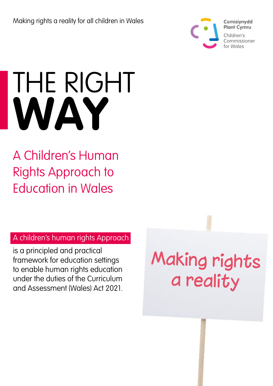

# THE RIGHT **WAY**

### A Children's Human Rights Approach to Education in Wales

### A children's human rights Approach

is a principled and practical framework for education settings to enable human rights education under the duties of the Curriculum and Assessment (Wales) Act 2021.

**Making rights** a reality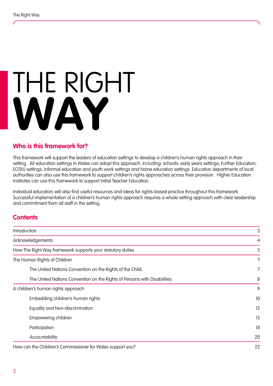# THE RIGHT **WAY**

#### **Who is this framework for?**

This framework will support the leaders of education settings to develop a children's human rights approach in their setting. All education settings in Wales can adopt this approach, including: schools; early years settings; Further Education; EOTAS settings; informal education and youth work settings and home education settings. Education departments of local authorities can also use this framework to support children's rights approaches across their provision. Higher Education Institutes can use this framework to support Initial Teacher Education.

Individual educators will also find useful resources and ideas for rights-based practice throughout this framework. Successful implementation of a children's human rights approach requires a whole setting approach with clear leadership and commitment from all staff in the setting.

#### **Contents**

| Introduction                                                             | 3  |
|--------------------------------------------------------------------------|----|
| Acknowledgements                                                         | 4  |
| How The Right Way framework supports your statutory duties               | 5  |
| The Human Rights of Children                                             | 7  |
| The United Nations Convention on the Rights of the Child;                | 7  |
| The United Nations Convention on the Rights of Persons with Disabilities | 8  |
| A children's human rights approach                                       | 9  |
| Embedding children's human rights                                        | 10 |
| Equality and Non-discrimination                                          | 12 |
| Empowering children                                                      | 15 |
| Participation                                                            | 18 |
| Accountability                                                           | 20 |
| How can the Children's Commissioner for Wales support you?               | 22 |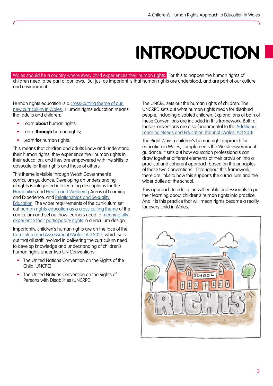## **INTRODUCTION**

<span id="page-2-0"></span>Wales should be a country where every child experiences their human rights. For this to happen the human rights of children need to be part of our laws. But just as important is that human rights are understood, and are part of our culture and environment.

Human rights education is a cross-cutting theme of our [new curriculum in Wales.](https://hwb.gov.wales/curriculum-for-wales/designing-your-curriculum/cross-cutting-themes-for-designing-your-curriculum/#human-rights) Human rights education means that adults and children:

- Learn **about** human rights;
- Learn **through** human rights;
- Learn **for** human rights.

This means that children and adults know and understand their human rights, they experience their human rights in their education, and they are empowered with the skills to advocate for their rights and those of others.

This theme is visible through Welsh Government's curriculum guidance. Developing an understanding of rights is integrated into learning descriptions for the [Humanities](https://hwb.gov.wales/curriculum-for-wales/humanities/descriptions-of-learning/) and [Health and Wellbeing](https://hwb.gov.wales/curriculum-for-wales/health-and-well-being/descriptions-of-learning/) Areas of Learning and Experience, and [Relationships and Sexuality](https://hwb.gov.wales/curriculum-for-wales/designing-your-curriculum/cross-cutting-themes-for-designing-your-curriculum/#relationships-and-sexuality-education-(rse):-statutory-guidance)  [Education.](https://hwb.gov.wales/curriculum-for-wales/designing-your-curriculum/cross-cutting-themes-for-designing-your-curriculum/#relationships-and-sexuality-education-(rse):-statutory-guidance) The wider requirements of the curriculum set out [human rights education as a cross cutting theme](https://hwb.gov.wales/curriculum-for-wales/designing-your-curriculum/cross-cutting-themes-for-designing-your-curriculum/#human-rights) of the curriculum and set out how learners need to [meaningfully](https://hwb.gov.wales/curriculum-for-wales/designing-your-curriculum/implementation-and-practical-considerations/#co-construction)  [experience their participatory rights](https://hwb.gov.wales/curriculum-for-wales/designing-your-curriculum/implementation-and-practical-considerations/#co-construction) in curriculum design.

Importantly, children's human rights are on the face of the [Curriculum and Assessment \(Wales\) Act 2021](https://www.legislation.gov.uk/asc/2021/4/section/64/enacted), which sets out that all staff involved in delivering the curriculum need to develop knowledge and understanding of children's human rights under two UN Conventions:

- The United Nations Convention on the Rights of the Child (UNCRC)
- The United Nations Convention on the Rights of Persons with Disabilities (UNCRPD)

The UNCRC sets out the human rights of children. The UNCRPD sets out what human rights mean for disabled people, including disabled children. Explanations of both of these Conventions are included in this framework. Both of these Conventions are also fundamental to the [Additional](https://gov.wales/sites/default/files/publications/2021-03/the-additional-learning-needs-code-for-wales-2021.pdf)  [Learning Needs and Education Tribunal \(Wales\) Act 2018.](https://gov.wales/sites/default/files/publications/2021-03/the-additional-learning-needs-code-for-wales-2021.pdf)

The Right Way: a children's human right approach for education in Wales, complements the Welsh Government guidance. It sets out how education professionals can draw together different elements of their provision into a practical and coherent approach based on the principles of these two Conventions. Throughout this framework, there are links to how this supports the curriculum and the wider duties of the school.

This approach to education will enable professionals to put their learning about children's human rights into practice. And it is this practice that will mean rights become a reality for every child in Wales.

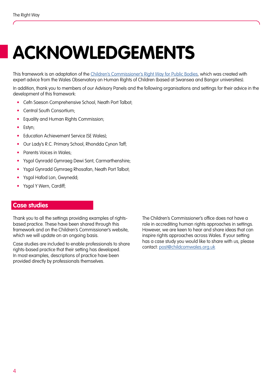## <span id="page-3-0"></span>**ACKNOWLEDGEMENTS**

This framework is an adaptation of the [Children's Commissioner's Right Way for Public Bodies](https://www.childcomwales.org.uk/the-right-way-a-childrens-rights-approach/a-childrens-rights-approach-to-education-in-wales/), which was created with expert advice from the Wales Observatory on Human Rights of Children (based at Swansea and Bangor universities).

In addition, thank you to members of our Advisory Panels and the following organisations and settings for their advice in the development of this framework:

- Cefn Saeson Comprehensive School, Neath Port Talbot;
- Central South Consortium;
- Equality and Human Rights Commission;
- Estyn;
- Education Achievement Service (SE Wales);
- Our Lady's R.C. Primary School, Rhondda Cynon Taff;
- Parents Voices in Wales;
- Ysgol Gynradd Gymraeg Dewi Sant, Carmarthenshire;
- Ysgol Gynradd Gymraeg Rhosafan, Neath Port Talbot;
- Ysgol Hafod Lon, Gwynedd;
- Ysgol Y Wern, Cardiff;

#### **Case studies**

Thank you to all the settings providing examples of rightsbased practice. These have been shared through this framework and on the Children's Commissioner's website, which we will update on an ongoing basis.

Case studies are included to enable professionals to share rights-based practice that their setting has developed. In most examples, descriptions of practice have been provided directly by professionals themselves.

The Children's Commissioner's office does not have a role in accrediting human rights approaches in settings. However, we are keen to hear and share ideas that can inspire rights approaches across Wales. If your setting has a case study you would like to share with us, please contact: [post@childcomwales.org.uk](mailto:post%40childcomwales.org.uk?subject=)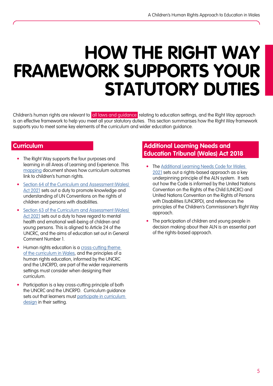### <span id="page-4-0"></span>**HOW THE RIGHT WAY FRAMEWORK SUPPORTS YOUR STATUTORY DUTIES**

Children's human rights are relevant to all laws and guidance relating to education settings, and the Right Way approach is an effective framework to help you meet all your statutory duties. This section summarises how the Right Way framework supports you to meet some key elements of the curriculum and wider education guidance.

- The Right Way supports the four purposes and learning in all Areas of Learning and Experience. This [mapping](https://www.childcomwales.org.uk/wp-content/uploads/2022/03/Curriculum-Paper-for-teachers-2022-English.pdf ) document shows how curriculum outcomes link to children's human rights.
- Section 64 of the Curriculum and Assessment (Wales) [Act 2021](https://www.legislation.gov.uk/asc/2021/4/section/64/enacted) sets out a duty to promote knowledge and understanding of UN Conventions on the rights of children and persons with disabilities.
- Section 63 of the Curriculum and Assessment (Wales) [Act 2021](https://www.legislation.gov.uk/asc/2021/4/section/63/enacted) sets out a duty to have regard to mental health and emotional well-being of children and young persons. This is aligned to Article 24 of the UNCRC, and the aims of education set out in General Comment Number 1.
- Human rights education is a cross-cutting theme [of the curriculum in Wales,](https://hwb.gov.wales/curriculum-for-wales/designing-your-curriculum/cross-cutting-themes-for-designing-your-curriculum#human-rights) and the principles of a human rights education, informed by the UNCRC and the UNCRPD, are part of the wider requirements settings must consider when designing their curriculum.
- Participation is a key cross-cutting principle of both the UNCRC and the UNCRPD. Curriculum guidance sets out that learners must participate in curriculum [design](https://hwb.gov.wales/curriculum-for-wales/designing-your-curriculum/implementation-and-practical-considerations/#co-construction) in their setting.

#### **Curriculum Additional Learning Needs and <b>Additional Learning Needs and Education Tribunal (Wales) Act 2018**

- The Additional Learning Needs Code for Wales [2021](https://gov.wales/sites/default/files/publications/2021-03/the-additional-learning-needs-code-for-wales-2021.pdf) sets out a rights-based approach as a key underpinning principle of the ALN system. It sets out how the Code is informed by the United Nations Convention on the Rights of the Child (UNCRC) and United Nations Convention on the Rights of Persons with Disabilities (UNCRPD), and references the principles of the Children's Commissioner's Right Way approach.
- The participation of children and young people in decision making about their ALN is an essential part of the rights-based approach.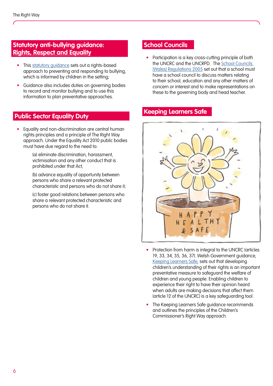#### **Statutory anti-bullying guidance: [Rights, Respect and Equality](https://gov.wales/school-bullying)**

- This statutory quidance sets out a rights-based approach to preventing and responding to bullying, which is informed by children in the setting;
- Guidance also includes duties on governing bodies to record and monitor bullying and to use this information to plan preventative approaches.

#### **Public Sector Equality Duty**

• Equality and non-discrimination are central human rights principles and a principle of The Right Way approach. Under the Equality Act 2010 public bodies must have due regard to the need to:

> (a) eliminate discrimination, harassment, victimisation and any other conduct that is prohibited under that Act;

(b) advance equality of opportunity between persons who share a relevant protected characteristic and persons who do not share it;

(c) foster good relations between persons who share a relevant protected characteristic and persons who do not share it.

#### **School Councils** safety and developments and development of the safety and development of the safety and development of the safety and development of the safety and development of the safety and development of the safety and development of

• Participation is a key cross-cutting principle of both the UNCRC and the UNCRPD. The <u>School Councils</u>  $[Wales]$  Regulations 2005 set out that a school must have a school council to discuss matters relating to their school, education and any other matters of concern or interest and to make representations on these to the governing body and head teacher. support children's capacity to take decisions and act  $\bullet$  Participation is a key cross-cutting principle of both

#### **Keeping Learners Safe** the receiving end of good or bad treatment from



- Protection from harm is integral to the UNCRC (articles 19, 33, 34, 35, 36, 37). Welsh Government guidance, <u>Keeping Learners Safe</u>, sets out that developing children's understanding of their rights is an important preventative measure to safeguard the welfare of children and young people. Enabling children to experience their right to have their opinion heard when adults are making decisions that affect them (article 12 of the UNCRC) is a key safeguarding tool.
- The Keeping Learners Safe guidance recommends and outlines the principles of the Children's Commissioner's Right Way approach.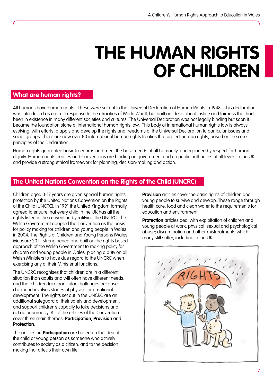### **THE HUMAN RIGHTS OF CHILDREN**

#### <span id="page-6-0"></span>**What are human rights?**

All humans have human rights. These were set out in the Universal Declaration of Human Rights in 1948. This declaration was introduced as a direct response to the atrocities of World War II, but built on ideas about justice and fairness that had been in existence in many different societies and cultures. The Universal Declaration was not legally binding but soon it became the foundation stone of international human rights law. This body of international human rights law is always evolving, with efforts to apply and develop the rights and freedoms of the Universal Declaration to particular issues and social groups. There are now over 80 international human rights treaties that protect human rights, based on the core principles of the Declaration.

Human rights guarantee basic freedoms and meet the basic needs of all humanity, underpinned by respect for human dignity. Human rights treaties and Conventions are binding on government and on public authorities at all levels in the UK, and provide a strong ethical framework for planning, decision-making and action.

#### **The United Nations Convention on the Rights of the Child (UNCRC)**

Children aged 0-17 years are given special human rights protection by the United Nations Convention on the Rights of the Child (UNCRC). In 1991 the United Kingdom formally agreed to ensure that every child in the UK has all the rights listed in the convention by ratifying the UNCRC. The Welsh Government adopted the Convention as the basis for policy making for children and young people in Wales in 2004. The Rights of Children and Young Persons (Wales) Measure 2011, strengthened and built on the rights based approach of the Welsh Government to making policy for children and young people in Wales, placing a duty on all Welsh Ministers to have due regard to the UNCRC when exercising any of their Ministerial functions.

The UNCRC recognises that children are in a different situation than adults and will often have different needs, and that children face particular challenges because childhood involves stages of physical or emotional development. The rights set out in the UNCRC are an additional safeguard of their safety and development, and support children's capacity to take decisions and act autonomously. All of the articles of the Convention cover three main themes: **Participation**, **Provision** and **Protection**.

The articles on **Participation** are based on the idea of the child or young person as someone who actively contributes to society as a citizen, and to the decision making that affects their own life.

**Provision** articles cover the basic rights of children and young people to survive and develop. These range through health care, food and clean water to the requirements for education and environment.

**Protection** articles deal with exploitation of children and young people at work; physical, sexual and psychological abuse; discrimination and other mistreatments which many still suffer, including in the UK.

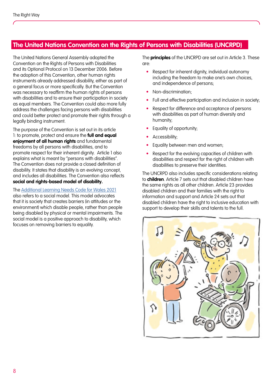#### <span id="page-7-0"></span>**The United Nations Convention on the Rights of Persons with Disabilities (UNCRPD)**

The United Nations General Assembly adopted the Convention on the Rights of Persons with Disabilities and its Optional Protocol on 13 December 2006. Before the adoption of this Convention, other human rights instruments already addressed disability, either as part of a general focus or more specifically. But the Convention was necessary to reaffirm the human rights of persons with disabilities and to ensure their participation in society as equal members. The Convention could also more fully address the challenges facing persons with disabilities and could better protect and promote their rights through a legally binding instrument.

The purpose of the Convention is set out in its article 1: to promote, protect and ensure the **full and equal enjoyment of all human rights** and fundamental freedoms by all persons with disabilities, and to promote respect for their inherent dignity. Article 1 also explains what is meant by "persons with disabilities". The Convention does not provide a closed definition of disability. It states that disability is an evolving concept, and includes all disabilities. The Convention also reflects a **social and rights-based model of disability.** 

The [Additional Learning Needs Code for Wales 2021](https://gov.wales/sites/default/files/publications/2021-03/210326-the-additional-learning-needs-code-for-wales-2021.pdf)

also refers to a social model. This model advocates that it is society that creates barriers (in attitudes or the environment) which disable people, rather than people being disabled by physical or mental impairments. The social model is a positive approach to disability, which focuses on removing barriers to equality.

The **principles** of the UNCRPD are set out in Article 3. These are:

- Respect for inherent dignity, individual autonomy including the freedom to make one's own choices, and independence of persons;
- Non-discrimination;
- Full and effective participation and inclusion in society;
- Respect for difference and acceptance of persons with disabilities as part of human diversity and humanity;
- Equality of opportunity;
- Accessibility;
- Equality between men and women;
- Respect for the evolving capacities of children with disabilities and respect for the right of children with disabilities to preserve their identities.

The UNCRPD also includes specific considerations relating to **children**. Article 7 sets out that disabled children have the same rights as all other children. Article 23 provides disabled children and their families with the right to information and support and Article 24 sets out that disabled children have the right to inclusive education with support to develop their skills and talents to the full.

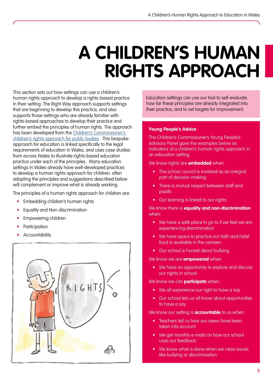### <span id="page-8-0"></span>**A CHILDREN'S HUMAN RIGHTS APPROACH**

This section sets out how settings can use a children's human rights approach to develop a rights-based practice in their setting. The Right Way approach supports settings that are beginning to develop this practice, and also supports those settings who are already familiar with rights-based approaches to develop their practice and further embed the principles of human rights. The approach has been developed from the [Children's Commissioner's](https://www.childcomwales.org.uk/the-right-way-a-childrens-rights-approach/)  [children's rights approach for public bodies.](https://www.childcomwales.org.uk/the-right-way-a-childrens-rights-approach/) This bespoke approach for education is linked specifically to the legal requirements of education in Wales, and uses case studies from across Wales to illustrate rights-based education practice under each of the principles. Many education settings in Wales already have well-developed practices to develop a human rights approach for children: often adopting the principles and suggestions described below will complement or improve what is already working.

The principles of a human rights approach for children are:

- Embedding children's human rights
- Equality and Non-discrimination
- Empowering children
- **Participation**
- **Accountability**



Education settings can use our tool to self-evaluate how far these principles are already integrated into their practice, and to set targets for improvement.

#### **Young People's Advice**

The Children's Commissioner's Young People's Advisory Panel gave the examples below as indicators of a children's human rights approach in an education setting.

We know rights are **embedded** when:

- The school council is involved as an integral part of decision making
- There is mutual respect between staff and pupils
- Our learning is linked to our rights

We know there is **equality and non-discrimination** when:

- We have a safe place to go to if we feel we are experiencing discrimination
- We have space to practice our faith and halal food is available in the canteen
- Our school is honest about bullying

We know we are **empowered** when:

• We have an opportunity to explore and discuss our rights in school

We know we can **participate** when:

- We all experience our right to have a say
- Our school lets us all know about opportunities to have a say

We know our setting is **accountable** to us when:

- Teachers tell us how our views have been taken into account
- We get monthly e mails on how our school uses our feedback
- We know what is done when we raise issues like bullying or discrimination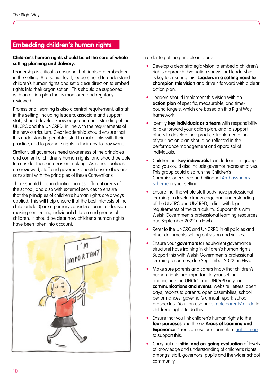### <span id="page-9-0"></span>Embedding children's human rights

#### Children's human rights should be at the core of whole setting planning and delivery.

Leadership is critical to ensuring that rights are embedded in the setting. At a senior level, leaders need to understand children's human rights and set a clear direction to embed rights into their organisation. This should be supported with an action plan that is monitored and regularly reviewed.

Professional learning is also a central requirement: all staff rrolessional learning is also a central requirement. all s<br>in the setting, including leaders, associate and support staff, should develop knowledge and understanding of the and, shootd develop knowledge and chaefstanding of in the new curriculum. Clear leadership should ensure that  $\overline{\phantom{a}}$ this understanding enables staff to make links with their<br>practice, and to promote rights in their day to day work. practice, and to promote rights in their day-to-day work.

praence, and to promote rights in their day to day work.<br>Similarly all governors need awareness of the principles and content of children's human rights, and should be able to consider these in decision making. As school policies To consider mese in decision making. As scribbi policies<br>are reviewed, staff and governors should ensure they are consistent with the principles of these Conventions. imuny an gove

There should be coordination across different areas of the school, and also with external services to ensure and know they have a voice. that the principles of children's human rights are always indi me principles of children's noman rights are diways<br>applied. This will help ensure that the best interests of the child (article 3) are a primary consideration in all decisionmaking concerning individual children and groups of pupils" children. It should be clear how children's human rights<br>' have been taken into account.



In order to put the principle into practice:

- Develop a clear strategic vision to embed a children's rights approach. Evaluation shows that leadership is key to ensuring this. **Leaders in a setting need to champion this vision** and drive it forward with a clear action plan.
- Leaders should implement this vision with an **action plan** of specific, measurable, and timebound targets, which are based on this Right Way framework.
- Identify **key individuals or a team** with responsibility to take forward your action plan, and to support others to develop their practice. Implementation of your action plan should be reflected in the performance management and appraisal of individuals.
- Children are **key individuals** to include in this group and you could also include governor representatives.<br>This aroun could also run the Children's This group could also run the Children's Commissioner's free and bilingual <u>Ambassadors</u><br>Sebaras in vaur oetting [scheme](https://www.childcomwales.org.uk/our-schemes/ ) in your setting.
- $\bullet$  Ensure that the whole staff body have professional learning to develop knowledge and understanding of the UNCRC and UNCRPD, in line with legal requirements of the curriculum. Support this with Welsh Government's professional learning resources, due September 2022 on Hwb.
- Refer to the UNCRC and UNCRPD in all policies and other forme of case and orient bill all policies and other documents setting out vision and values. official documents seming our vision and values.
- **•** Ensure your governors (or equivalent governance structure) have training in children's human rights. Support this with Welsh Government's professional learning resources, due September 2022 on Hwb.
- Make sure parents and carers know that children's human rights are important to your setting making the unpertainties, you coming **communications and events**: website; letters; open commentance and creme making hands, epidons days; reports to parents; open assemblies; school ences in the main of parameters and the community children have influenced decisions and performances; governor's annual report; school procurrences, generally experience prospectus. You can use our [simple parents' guide](https://www.childcomwales.org.uk/uncrc-guide-for-parents/) to prosponsor not can occlose <u>campic parameters</u> are involved in the process. Participation should
- Ensure that you link children's human rights to the four purposes and the six Areas of Learning and **Experience**. " You can use our curriculum <u>[rights-map](https://www.childcomwales.org.uk/wp-content/uploads/2022/03/Curriculum-Paper-for-teachers-2022-English.pdf )</u> to support this.  $\bullet$  - Ensure that you link children's human rights to ti
	- Carry out an **initial and on-going evaluation** of levels of knowledge and understanding of children's rights amongst staff, governors, pupils and the wider school community.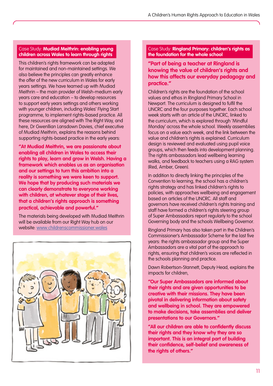#### Case Study: **Mudiad Meithrin: enabling young children across Wales to learn through rights**

Fins children's rights indiriework can be dadpled<br>for maintained and non-maintained settings. We also believe the principles can greatly emiddle the offer of the new curriculum in Wales for early<br>the sure active as the house teams of we with Martinal years senings. We nave learned up will modidately<br>Meithrin – the main provider of Welsh-medium early we miniment is main provider or websited on the didn't be years care and education – to develop resources years care and each more of the school des to support early years settings and others working<br>to the support of the rights and others working will younger children, incloding wales Trying Slam<br>programme, to implement rights-based practice. All programme, to implement rights-based practice. All<br>these resources are aligned with The Right Way, and shere resources are angried with the Ngm way, and<br>have been because the device being additional here, Dr Gwenllian Lansdown Davies, chief executive<br>here, Dr Gwenllian Lansdown Davies, chief executive exemple the school of the school is the school is committed. supporting rights-based practice in the early years: This children's rights framework can be adapted also believe the principles can greatly enhance years settings. We have teamed up with Mudiad with younger children, including Wales' Flying Start of Mudiad Meithrin, explains the reasons behind

**"At Mudiad Meithrin, we are passionate about Theory enabling all children in Wales to access their rights to play, learn and grow in Welsh. Having a** framework which enables us as an organisation and our settings to turn this ambition into a reality is something we were keen to support. We hope that by producing such materials we **conclearly demonstrate to everyone working teaching that an understanding that an understanding with children, at whatever stage of their lives,** that a children's rights approach is something  $\frac{1}{2}$  in different continual dependent continually developed  $\frac{1}{2}$ and explored. **practical, achievable and powerful."** 

The materials being developed with Mudiad Meithrin will be available from our Right Way hub on our website: [www.childrenscommissioner.wales](http://www.childrenscommissioner.wales)



#### Case Study: **Ringland Primary: children's rights as the foundation for the whole school**

"with rights we have developed **"Part of being a teacher at Ringland is**  more empathy towards others, **how this affects our everyday pedagogy and**  especially the right to learn" **practice." knowing the value of children's rights and** 

Pupil, Secondary School.  $\blacksquare$  Newport. The curriculum is designed to fulfil the UNCRC and the four purposes together. Each school<br>weak starts with an article of the UNCRC linked to week starts will all alliele of the crocke, linked to<br>the curriculum, which is explored through 'Mindful Monday' across the whole school. Weekly assemblies focus on a value each week, and the link between the<br>value and children's rights is evaluined. Curriculum value and enhancing rights is explained. Concoloring design is reviewed and evaluated using pupil voice groups, which then feeds into development planning. The rights ambassadors lead wellbeing learning Children's rights are the foundation of the school values and ethos in Ringland Primary School in week starts with an article of the UNCRC, linked to value and children's rights is explained. Curriculum walks, and feedback to teachers using a RAG system (Red, Amber, Green).

In addition to directly linking the principles of the Convention to learning, the school has a children's rights strategy and has linked children's rights to policies, will upprouches wellbeing and engage<br>based on articles of the UNCRC. All staff and governors have received children's rights training and  $\blacksquare$  staff have formed a children's rights steering group policies, with approaches wellbeing and engagement of Super Ambassadors report regularly to the school Governing body and the schools Wellbeing Governor.

Empowering children Ambassadors are a vital part of the approach to the schools planning and practice. Ringland Primary has also taken part in the Children's Commissioner's Ambassador Scheme for the last five years: the rights ambassador group and the Super rights, ensuring that children's voices are reflected in

Employee Departed Channett Deputy Lload cuple Dawn Robertson-Stannett, Deputy Head, explains the<br>impacts for shildren able to take a dvantage of rights, and to engage of rights, and to engage  $\alpha$ 

**"Our Super Ambassadors are informed about their rights and are given opportunities to be creative with their missions. They have been pivotal in delivering information about safety** and wellbeing in school. They are empowered to make decisions, take assemblies and deliver **Presentations to our Governors."** 

in their everyday lives. Empowerment changes **"All our children are able to confidently discuss** their rights and they know why they are so **important. This is an integral part of building their confidence, self-belief and awareness of the rights of others." the rights of others."** 

development of the child (guaranteed by Article 6) and the child (guaranteed by Article 6) and Article 6 and A

of the UNCRC).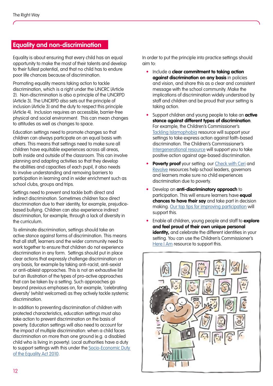#### <span id="page-11-0"></span>**Equality and non-discrimination**

Equality is about ensuring that every child has an equal opportunity to make the most of their talents and develop to their fullest potential, and that no child has to endure poor life chances because of discrimination.

Promoting equality means taking action to tackle discrimination, which is a right under the UNCRC (Article 2). Non-discrimination is also a principle of the UNCRPD (Article 3). The UNCRPD also sets out the principle of inclusion (Article 3) and the duty to respect this principle (Article 4). Inclusion requires an accessible, barrier-free physical and social environment. This can mean changes to attitudes as well as changes to space.

Education settings need to promote changes so that children can always participate on an equal basis with others. This means that settings need to make sure all children have equitable experiences across all areas, both inside and outside of the classroom. This can involve planning and adapting activities so that they develop the abilities and capacities of each pupil, it also needs to involve understanding and removing barriers to participation in learning and in wider enrichment such as school clubs, groups and trips.

Settings need to prevent and tackle both direct and indirect discrimination. Sometimes children face direct discrimination due to their identity, for example, prejudicebased bullying. Children can also experience indirect discrimination, for example, through a lack of diversity in the curriculum.

To eliminate discrimination, settings should take an active stance against forms of discrimination. This means that all staff, learners and the wider community need to work together to ensure that children do not experience discrimination in any form. Settings should put in place clear actions that expressly challenge discrimination on any basis, for example by taking anti-racist, anti-sexist or anti-ableist approaches. This is not an exhaustive list but an illustration of the types of pro-active approaches that can be taken by a setting. Such approaches go beyond previous emphases on, for example, 'celebrating diversity' (whilst welcomed) as they actively tackle systemic discrimination.

In addition to preventing discrimination of children with protected characteristics, education settings must also take action to prevent discrimination on the basis of poverty. Education settings will also need to account for the impact of multiple discrimination: when a child faces discrimination on more than one ground (e.g. a disabled child who is living in poverty). Local authorities have a duty to support settings with this under the [Socio-Economic Duty](https://gov.wales/sites/default/files/publications/2021-03/a-more-equal-wales.pdf)  [of the Equality Act 2010.](https://gov.wales/sites/default/files/publications/2021-03/a-more-equal-wales.pdf)

In order to put the principle into practice settings should aim to:

- Include a **clear commitment to taking action against discrimination on any basis** in policies and vision, and share this as a clear and consistent message with the school community. Make the implications of discrimination widely understood by staff and children and be proud that your setting is taking action.
- Support children and young people to take an **active stance against different types of discrimination**. For example, the Children's Commissioner's [Tackling Islamophobia](https://www.childcomwales.org.uk/publications/tackling-islamophobia-resource/) resource will support your settings to take express action against faith-based discrimination. The Children's Commissioner's Intergenerational resource will support you to take positive action against age-based discrimination.
- **Poverty proof** your setting: our [Check with Ceri](https://www.childcomwales.org.uk/a-charter-for-change-resources/) and **Proverty proof** your seming, our <u>criteck with cen</u>ture and statements Revolve resources help schoor leaders, governors<br>and learners make sure no child experiences and redimers make sore no call<br>discrimination due to poverty.
- Develop an **anti-discriminatory approach** to participation. This will ensure learners have **equal chances to have their say** and take part in decision making. [Our top tips for improving participation](https://www.childcomwales.org.uk/wp-content/uploads/2021/07/Top-Tips-PDF-1.pdf) will support this. The Gather relevant data and disaggregated data, including disaggregated data, including disaggregated data, including  $\alpha$ 
	- Enable all children, young people and staff to **explore** and feel proud of their own unique personal **identity,** and celebrate the different identities in your setting. You can use the Children's Commissioner's [Here I Am](https://www.childcomwales.org.uk/here-i-am/) resource to support this.

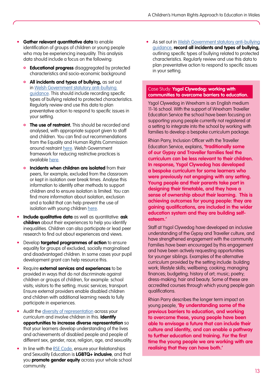- **Gather relevant quantitative data** to enable identification of groups of children or young people who may be experiencing inequality. This analysis data should include a focus on the following:
	- **Educational progress** disaggregated by protected characteristics and socio-economic background
	- **All incidents and types of bullying, as set out** in [Welsh Government statutory anti-bullying](https://gov.wales/rights-respect-equality-guidance-schools)  [guidance](https://gov.wales/rights-respect-equality-guidance-schools). This should include recording specific types of bullying related to protected characteristics. Regularly review and use this data to plan preventative action to respond to specific issues in your setting.
	- **The use of restraint.** This should be recorded and analysed, with appropriate support given to staff and children. You can find out recommendations from the Equality and Human Rights Commission around restraint [here](https://www.equalityhumanrights.com/sites/default/files/inquiry-restraint-in-schools-report.pdf). Welsh Government framework for reducing restrictive practices is available [here](https://gov.wales/reducing-restrictive-practices-framework).
	- **Incidents when children are isolated** from their peers, for example, excluded from the classroom or kept in isolation over break times. Analyse this information to identify other methods to support children and to ensure isolation is limited. You can find more information about isolation, exclusion and a toolkit that can help prevent the use of isolation with young children [here](https://www.childcomwales.org.uk/publications/building-blocks/).
- **Include qualitative data** as well as quantitative: **ask children** about their experiences to help you identify inequalities. Children can also participate or lead peer research to find out about experiences and views.
- Develop **targeted programmes of action** to ensure equality for groups of excluded, socially marginalised and disadvantaged children. In some cases your pupil development grant can help resource this.
- Require **external services and experiences** to be provided in ways that do not discriminate against children or groups of children, for example: school visits; visitors to the setting; music services; transport. Ensure external providers enable disabled children and children with additional learning needs to fully participate in experiences.
- Audit the [diversity of representation](https://hwb.gov.wales/curriculum-for-wales/designing-your-curriculum/cross-cutting-themes-for-designing-your-curriculum/#diversity) across your curriculum and involve children in this. **Identify opportunities to increase diverse representation** so that your learners develop understanding of the lives and achievements of disabled people and people of different sex, gender, race, religion, age, and sexuality.
- In line with the [RSE Code,](https://hwb.gov.wales/curriculum-for-wales/designing-your-curriculum/cross-cutting-themes-for-designing-your-curriculum/#relationships-and-sexuality-education-(rse):-statutory-guidance) ensure your Relationships and Sexuality Education is **LGBTQ+ inclusive**, and that you **promote gender equity** across your whole school community.

• As set out in Welsh Government statutory anti-bullying [guidance](https://gov.wales/rights-respect-equality-guidance-schools), **record all incidents and types of bullying,** outlining specific types of bullying related to protected characteristics. Regularly review and use this data to plan preventative action to respond to specific issues in your setting.

#### Case Study: **Ysgol Clywedog: working with communities to overcome barriers to education.**

Ysgol Clywedog in Wrexham is an English medium 11-16 school. With the support of Wrexham Traveller Education Service the school have been focusing on supporting young people currently not registered at a setting to integrate into the school by working with families to develop a bespoke curriculum package.

Rhian Parry, Inclusion Officer with the Traveller Education Service, explains, **'traditionally some of our Gypsy and Traveller families feel the curriculum can be less relevant to their children. In response, Ysgol Clywedog has developed a bespoke curriculum for some learners who were previously not engaging with any setting. Young people and their parents take part in designing their timetable, and they have a sense of ownership about their learning. This is achieving outcomes for young people: they are gaining qualifications, are included in the wider education system and they are building selfesteem.'**

Staff at Ysgol Clywedog have developed an inclusive understanding of the Gypsy and Traveller culture, and have strengthened engagement with the community. Families have been encouraged by this engagement and have been actively requesting opportunities for younger siblings. Examples of the alternative curriculum provided by the setting include: building work; lifestyle skills; wellbeing; cooking; managing finances; budgeting; history of art; music; poetry; dress-making; hair and beauty. Some of these are accredited courses through which young people gain qualifications.

Rhian Parry describes the longer term impact on young people, **'By understanding some of the previous barriers to education, and working to overcome these, young people have been able to envisage a future that can include their culture and identity, and can enable a pathway to further education and training. For the first time the young people we are working with are realising that they can have both.'**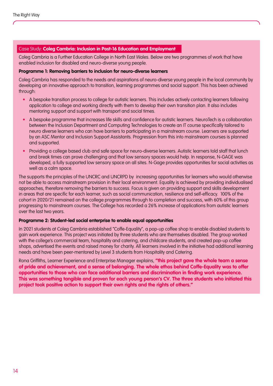#### Case Study: **Coleg Cambria: Inclusion in Post-16 Education and Employment**

Coleg Cambria is a Further Education College in North East Wales. Below are two programmes of work that have enabled inclusion for disabled and neuro-diverse young people.

#### **Programme 1: Removing barriers to inclusion for neuro-diverse learners**

Coleg Cambria has responded to the needs and aspirations of neuro-diverse young people in the local community by developing an innovative approach to transition, learning programmes and social support. This has been achieved through:

- A bespoke transition process to college for autistic learners. This includes actively contacting learners following application to college and working directly with them to develop their own transition plan. It also includes mentoring support and support with transport and social times.
- A bespoke programme that increases life skills and confidence for autistic learners. NeuroTech is a collaboration between the Inclusion Department and Computing Technologies to create an IT course specifically tailored to neuro diverse learners who can have barriers to participating in a mainstream course. Learners are supported by an ASC Mentor and Inclusion Support Assistants. Progression from this into mainstream courses is planned and supported.
- Providing a college based club and safe space for neuro-diverse learners. Autistic learners told staff that lunch and break times can prove challenging and that low sensory spaces would help. In response, N-GAGE was developed, a fully supported low sensory space on all sites. N-Gage provides opportunities for social activities as well as a calm space.

The supports the principles of the UNCRC and UNCRPD by increasing opportunities for learners who would otherwise not be able to access mainstream provision in their local environment. Equality is achieved by providing individualised approaches, therefore removing the barriers to success. Focus is given on providing support and skills development in areas that are specific for each learner, such as social communication, resilience and self-efficacy. 100% of the cohort in 2020/21 remained on the college programmes through to completion and success, with 60% of this group progressing to mainstream courses. The College has recorded a 26% increase of applications from autistic learners over the last two years.

#### **Programme 2: Student-led social enterprise to enable equal opportunities**

In 2021 students at Coleg Cambria established "Coffe-Equality", a pop-up coffee shop to enable disabled students to gain work experience. This project was initiated by three students who are themselves disabled. The group worked with the college's commercial team, hospitality and catering, and childcare students, and created pop-up coffee shops, advertised the events and raised money for charity. All learners involved in the initiative had additional learning needs and have been peer-mentored by Level 3 students from Hospitality and Catering.

Rona Griffiths, Learner Experience and Enterprise Manager explains, **"this project gave the whole team a sense of pride and achievement, and a sense of belonging. The whole ethos behind Coffe-Equality was to offer opportunities to those who can face additional barriers and discrimination in finding work experience. This was something tangible and proven for each young person's CV. The three students who initiated this project took positive action to support their own rights and the rights of others."**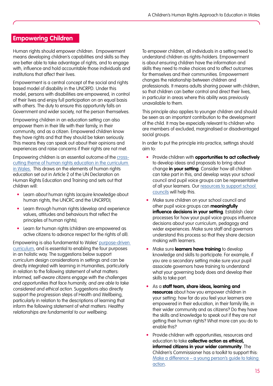#### <span id="page-14-0"></span>**Empowering Children**

Human rights should empower children. Empowerment means developing children's capabilities and skills so they are better able to take advantage of rights, and to engage with, influence and hold accountable those individuals and institutions that affect their lives.

Empowerment is a central concept of the social and rights based model of disability in the UNCRPD. Under this model, persons with disabilities are empowered, in control of their lives and enjoy full participation on an equal basis with others. The duty to ensure this opportunity falls on Government and wider society, not the person themselves.

Empowering children in an education setting can also empower them in their life with their family, in their community, and as a citizen. Empowered children know they have rights and that they should be taken seriously. This means they can speak out about their opinions and experiences and raise concerns if their rights are not met.

Empowering children is an essential outcome of the [cross](https://hwb.gov.wales/curriculum-for-wales/designing-your-curriculum/cross-cutting-themes-for-designing-your-curriculum/#human-rights)cutting theme of human rights education in the curriculum [in Wales.](https://hwb.gov.wales/curriculum-for-wales/designing-your-curriculum/cross-cutting-themes-for-designing-your-curriculum/#human-rights) This draws on the elements of human rights education set out in Article 2 of the UN Declaration on Human Rights Education and Training and sets out that children will:

- Learn about human rights (acquire knowledge about human rights, the UNCRC and the UNCRPD);
- Learn through human rights (develop and experience values, attitudes and behaviours that reflect the principles of human rights);
- Learn for human rights (children are empowered as active citizens to advance respect for the rights of all).

Empowering is also fundamental to Wales' [purpose-driven](https://hwb.gov.wales/curriculum-for-wales/designing-your-curriculum/developing-a-vision-for-curriculum-design/#curriculum-design-and-the-four-purposes)  [curriculum](https://hwb.gov.wales/curriculum-for-wales/designing-your-curriculum/developing-a-vision-for-curriculum-design/#curriculum-design-and-the-four-purposes), and is essential to enabling the four purposes in an holistic way. The suggestions below support curriculum design considerations in settings and can be directly integrated with learning in Humanities, particularly in relation to the following statement of what matters: Informed, self-aware citizens engage with the challenges and opportunities that face humanity, and are able to take considered and ethical action. Suggestions also directly support the progression steps of Health and Wellbeing, particularly in relation to the descriptions of learning that inform the following statement of what matters: Healthy relationships are fundamental to our wellbeing.

To empower children, all individuals in a setting need to understand children as rights-holders. Empowerment is about ensuring children have the information and skills they need to make choices and to affect outcomes for themselves and their communities. Empowerment changes the relationship between children and professionals. It means adults sharing power with children, so that children can better control and direct their lives, in particular in areas where this ability was previously unavailable to them.

This principle also applies to younger children and should be seen as an important contribution to the development of the child. It may be especially relevant to children who are members of excluded, marginalised or disadvantaged social groups.

In order to put the principle into practice, settings should aim to:

- Provide children with **opportunities to act collectively** to develop ideas and proposals to bring about change **in your setting**. Consider how all children can take part in this, and develop ways your school council and pupil voice groups can be representative of all your learners. Our [resources to support school](https://www.childcomwales.org.uk/amplify-how-to-maximise-young-peoples-voices-through-your-secondary-school-council/)  [councils](https://www.childcomwales.org.uk/amplify-how-to-maximise-young-peoples-voices-through-your-secondary-school-council/) will help this.
- Make sure children on your school council and other pupil voice groups can **meaningfully influence decisions in your setting**. Establish clear processes for how your pupil voice groups influence decisions about your curriculum, pedagogy and wider experiences. Make sure staff and governors understand this process so that they share decision making with learners.
- Make sure **learners have training** to develop knowledge and skills to participate. For example, if you are a secondary setting make sure your pupil associate governors have training to understand what your governing body does and develop their skills to take part.
- As a **staff team, share ideas, learning and resources** about how you empower children in your setting: how far do you feel your learners are empowered in their education, in their family life, in their wider community and as citizens? Do they have the skills and knowledge to speak out if they are not getting their human rights? What more can you do to enable this?
- Provide children with opportunities, resources and education to take **collective action as ethical, informed citizens in your wider community**. The Children's Commissioner has a toolkit to support this: [Make a difference – a young person's guide to taking](https://www.childcomwales.org.uk/make-a-difference/)  [action](https://www.childcomwales.org.uk/make-a-difference/).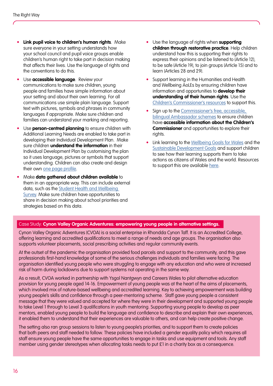- **Link pupil voice to children's human rights**. Make sure everyone in your setting understands how your school council and pupil voice groups enable children's human right to take part in decision making that affects their lives. Use the language of rights and the conventions to do this.
- Use **accessible language**. Review your communications to make sure children, young people and families have simple information about your setting and about their own learning. For all communications use simple plain language. Support text with pictures, symbols and phrases in community languages if appropriate. Make sure children and families can understand your marking and reporting.
- Use **person-centred planning** to ensure children with Additional Learning Needs are enabled to take part in developing their Individual Development Plan. Make sure children **understand the information** in their Individual Development Plan by customising the plan so it uses language, pictures or symbols that support understanding. Children can also create and design their own [one page profile.](https://gov.wales/sites/default/files/publications/2019-01/person-centred-practice-in-education-a-guide-for-early-years-schools-and-colleges-in-wales.pdf)
- Make **data gathered about children available** to them in an appropriate way. This can include external data, such as the Student Health and Wellbeina [Survey.](https://gov.wales/student-health-and-well-being-survey) Make sure children have opportunities to share in decision making about school priorities and strategies based on this data.
- Use the language of rights when **supporting children through restorative practice**. Help children understand how this is supporting their rights to express their opinions and be listened to (Article 12), to be safe (Article 19), to join groups (Article 15) and to learn (Articles 28 and 29).
- Support learning in the Humanities and Health and Wellbeing AoLEs by ensuring children have information and opportunities to **develop their understanding of their human rights**. Use the [Children's Commissioner's resources](https://www.childcomwales.org.uk/resources/) to support this.
- Sign up to the Commissioner's free, accessible, [bilingual Ambassador schemes](https://www.childcomwales.org.uk/our-schemes/) to ensure children have **accessible information about the Children's Commissioner** and opportunities to explore their rights.
- Link learning to the [Wellbeing Goals for Wales](https://gov.wales/well-being-of-future-generations-wales#:~:text=There%20are%207%20connected%20well-being%20goals%20for%20Wales.,and%20involve%20people%20of%20all%20ages%20and%20diversity.) and the [Sustainable Development Goals](https://sdgs.un.org/goals) and support children to see how their learning supports them to take actions as citizens of Wales and the world. Resources to support this are available [here](https://walktheglobalwalk.eu/en/).

#### Case Study: **Cynon Valley Organic Adventures: empowering young people in alternative settings.**

Cynon Valley Organic Adventures (CVOA) is a social enterprise in Rhondda Cynon Taff. It is an Accredited College, offering learning and accredited qualifications to meet a range of needs and age groups. The organisation also supports volunteer placements, social prescribing activities and regular community events.

At the outset of the pandemic the organisation provided food parcels and support to the community, and this gave professionals first-hand knowledge of some of the serious challenges individuals and families were facing. The organisation identified young people who were struggling to engage with any education and who were at increased risk of harm during lockdowns due to support systems not operating in the same way.

As a result, CVOA worked in partnership with Ysgol Nantgwyn and Careers Wales to pilot alternative education provision for young people aged 14-16. Empowerment of young people was at the heart of the aims of placements, which involved mix of nature-based wellbeing and accredited learning. Key to achieving empowerment was building young people's skills and confidence through a peer-mentoring scheme. Staff gave young people a consistent message that they were valued and accepted for where they were in their development and supported young people to take Level 1 through to Level 3 qualifications in youth mentoring. Supporting young people to develop as peer mentors, enabled young people to build the language and confidence to describe and explain their own experiences, it enabled them to understand that their experiences are valuable to others, and can help create positive change.

The setting also ran group sessions to listen to young people's priorities, and to support them to create policies that both peers and staff needed to follow. These policies have included a gender equality policy which requires all staff ensure young people have the same opportunities to engage in tasks and use equipment and tools. Any staff member using gender stereotypes when allocating tasks needs to put £1 in a charity box as a consequence.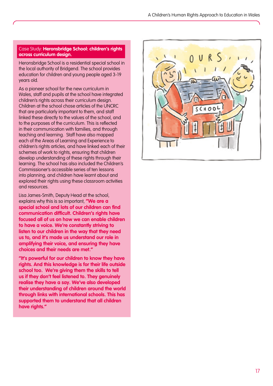#### Case Study: **Heronsbridge School: children's rights across curriculum design.**

Heronsbridge School is a residential special school in the local authority of Bridgend. The school provides education for children and young people aged 3-19 years old.

As a pioneer school for the new curriculum in Wales, staff and pupils at the school have integrated children's rights across their curriculum design. Children at the school chose articles of the UNCRC that are particularly important to them, and staff linked these directly to the values of the school, and to the purposes of the curriculum. This is reflected in their communication with families, and through teaching and learning. Staff have also mapped each of the Areas of Learning and Experience to children's rights articles, and have linked each of their schemes of work to rights, ensuring that children develop understanding of these rights through their learning. The school has also included the Children's Commissioner's accessible series of ten lessons into planning, and children have learnt about and explored their rights using these classroom activities and resources.

Lisa James-Smith, Deputy Head at the school, explains why this is so important, **"We are a special school and lots of our children can find communication difficult. Children's rights have focused all of us on how we can enable children to have a voice. We're constantly striving to listen to our children in the way that they need us to, and it's made us understand our role in amplifying their voice, and ensuring they have choices and their needs are met."**

**"It's powerful for our children to know they have rights. And this knowledge is for their life outside school too. We're giving them the skills to tell us if they don't feel listened to. They genuinely realise they have a say. We've also developed their understanding of children around the world through links with international schools. This has supported them to understand that all children have rights."**

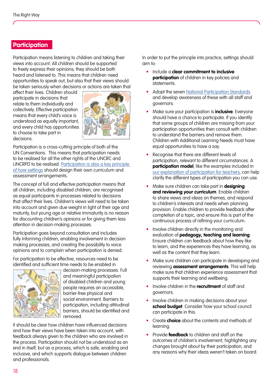#### <span id="page-17-0"></span>**Participation**

Participation means listening to children and taking their views into account. All children should be supported to freely express their opinions; they should be both heard and listened to. This means that children need opportunities to speak out, but also that their views should be taken seriously when decisions or actions are taken that

affect their lives. Children should participate in decisions that relate to them individually and collectively. Effective participation means that every child's voice is understood as equally important, and every child has opportunities to choose to take part in decisions.



Participation is a cross-cutting principle of both of the UN Conventions. This means that participation needs to be realised for all the other rights of the UNCRC and UNCRPD to be realised. [Participation is also a key principle](https://hwb.gov.wales/curriculum-for-wales/designing-your-curriculum/implementation-and-practical-considerations/#co-construction)  [of how settings](https://hwb.gov.wales/curriculum-for-wales/designing-your-curriculum/implementation-and-practical-considerations/#co-construction) should design their own curriculum and assessment arrangements.

The concept of full and effective participation means that all children, including disabled children, are recognised as equal participants in processes related to decisions that affect their lives. Children's views will need to be taken into account and given due weight in light of their age and maturity, but young age or relative immaturity is no reason for discounting children's opinions or for giving them less attention in decision-making processes.

Participation goes beyond consultation and includes fully informing children, enabling involvement in decision making processes, and creating the possibility to voice opinions and to complain when participation is denied.

For participation to be effective, resources need to be identified and sufficient time needs to be enabled in



decision-making processes. Full and meaningful participation of disabled children and young people requires an accessible, barrier-free physical and social environment. Barriers to participation, including attitudinal barriers, should be identified and removed.

It should be clear how children have influenced decisions and how their views have been taken into account, with feedback always given to the children who are involved in the process. Participation should not be understood as an end in itself, but as a process, which is safe, enabling and inclusive, and which supports dialogue between children and professionals.

In order to put the principle into practice, settings should aim to:

- Include a **clear commitment to inclusive participation** of children in key policies and statements.
- Adopt the seven [National Participation Standards](https://gov.wales/children-and-young-peoples-national-participation-standards) and develop awareness of these with all staff and governors.
- Make sure your participation is **inclusive**. Everyone should have a chance to participate. If you identify that some groups of children are missing from your participation opportunities then consult with children to understand the barriers and remove them. Children with Additional Learning Needs must have equal opportunities to have a say.
- Recognise that there are different levels of participation, relevant to different circumstances. A **participation model**, like the examples included in [our explanation of participation for teachers,](https://www.childcomwales.org.uk/amplify-how-to-maximise-young-peoples-voices-through-your-secondary-school-council/) can help clarify the different types of participation you can use.
- Make sure children can take part in **designing and reviewing your curriculum**. Enable children to share views and ideas on themes, and respond to children's interests and needs when planning provision. Enable children to provide feedback after completion of a topic, and ensure this is part of the continuous process of refining your curriculum.
- Involve children directly in the monitoring and evaluation of **pedagogy, teaching and learning**. Ensure children can feedback about how they like to learn, and the experiences they have learning, as well as the content that they learn.
- Make sure children can participate in developing and reviewing **assessment arrangements**. This will help make sure that children experience assessment that supports their learning and wellbeing.
- Involve children in the **recruitment** of staff and governors.
- Involve children in making decisions about your **school budget**. Consider how your school council can participate in this.
- Create **choice** about the contents and methods of learning.
- Provide **feedback** to children and staff on the outcomes of children's involvement, highlighting any changes brought about by their participation, and any reasons why their ideas weren't taken on board.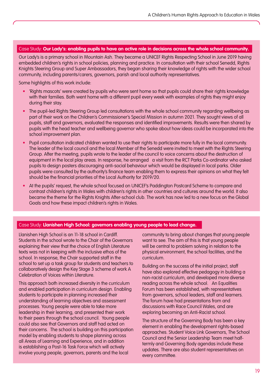#### Case Study: **Our Lady's: enabling pupils to have an active role in decisions across the whole school community.**

Our Lady's is a primary school in Mountain Ash. They became a UNICEF Rights Respecting School in June 2019 having embedded children's rights in school policies, planning and practice. In consultation with their school Senedd, Rights Knights Steering Group and Super Ambassadors, they began sharing their knowledge of rights with the wider school community, including parents/carers, governors, parish and local authority representatives.

Some highlights of this work include:

- 'Rights mascots' were created by pupils who were sent home so that pupils could share their rights knowledge with their families. Both went home with a different pupil every week with examples of rights they might enjoy during their stay.
- The pupil-led Rights Steering Group led consultations with the whole school community regarding wellbeing as part of their work on the Children's Commissioner's Special Mission in autumn 2021. They sought views of all pupils, staff and governors, evaluated the responses and identified improvements. Results were then shared by pupils with the head teacher and wellbeing governor who spoke about how ideas could be incorporated into the school improvement plan.
- Pupil consultation indicated children wanted to use their rights to participate more fully in the local community. The leader of the local council and the local Member of the Senedd were invited to meet with the Rights Steering Group. After the meeting, pupils wrote to the leader of the council to voice concerns about the destruction of equipment in the local play areas. In response, he arranged a visit from the RCT Parks Co-ordinator who asked pupils to design posters discouraging anti-social behaviour which would be displayed in local parks. Older pupils were consulted by the authority's finance team enabling them to express their opinions on what they felt should be the financial priorities of the Local Authority for 2019/20.
- At the pupils' request, the whole school focused on UNICEF's Paddington Postcard Scheme to compare and contrast children's rights in Wales with children's rights in other countries and cultures around the world. It also became the theme for the Rights Knights After-school club. The work has now led to a new focus on the Global Goals and how these impact children's rights in Wales.

#### Case Study: **Llanishen High School: governors enabling young people to lead change.**

Llanishen High School is an 11-18 school in Cardiff. Students in the school wrote to the Chair of the Governors explaining their view that the choice of English Literature texts was not in keeping with the inclusive ethos of the school. In response, the Chair supported staff in the school to set up a task group for students and teachers to collaboratively design the Key Stage 3 scheme of work A Celebration of Voices within Literature.

This approach both increased diversity in the curriculum and enabled participation in curriculum design. Enabling students to participate in planning increased their understanding of learning objectives and assessment processes. Young people were able to take more leadership in their learning, and presented their work to their peers through the school council. Young people could also see that Governors and staff had acted on their concerns. The school is building on this participation model by enabling students to shape planning across all Areas of Learning and Experience, and in addition is establishing a Post-16 Task Force which will actively involve young people, governors, parents and the local

community to bring about changes that young people want to see. The aim of this is that young people will be central to problem solving in relation to the physical environment, the school facilities, and the curriculum.

Building on the success of the initial project, staff have also explored effective pedagogy in building a non-racist curriculum, and developed more diverse reading across the whole school. An Equalities Forum has been established, with representatives from governors, school leaders, staff and learners. The forum have had presentations from and discussions with Race Council Wales, and are exploring becoming an Anti-Racist school.

The structure of the Governing Body has been a key element in enabling the development rights-based approaches. Student Voice Link Governors, The School Council and the Senior Leadership Team meet halftermly and Governing Body agendas include these updates. There are also student representatives on every committee.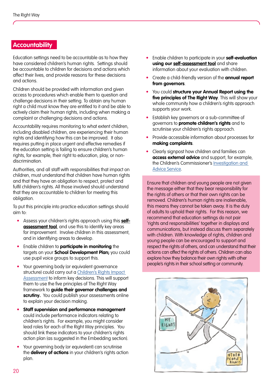#### <span id="page-19-0"></span>**Accountability**

Education settings need to be accountable as to how they have considered children's human rights. Settings should be accountable to children for decisions and actions which affect their lives, and provide reasons for these decisions and actions.

Children should be provided with information and given access to procedures which enable them to question and challenge decisions in their setting. To obtain any human right a child must know they are entitled to it and be able to actively claim their human rights, including when making a complaint or challenging decisions and actions.

Accountability requires monitoring to what extent children, including disabled children, are experiencing their human rights and identifying how this can be improved. It also requires putting in place urgent and effective remedies if the education setting is failing to ensure children's human rights, for example, their right to education, play, or nondiscrimination.

Authorities, and all staff with responsibilities that impact on children, must understand that children have human rights and that they have an obligation to respect, protect and fulfil children's rights. All those involved should understand that they are accountable to children for meeting this obligation.

To put this principle into practice education settings should aim to:

- Assess your children's rights approach using this **[self](https://www.childcomwales.org.uk/wp-content/uploads/2022/03/TRW_Selfassessment_tool_ENG.pdf )[assessment tool](https://www.childcomwales.org.uk/wp-content/uploads/2022/03/TRW_Selfassessment_tool_ENG.pdf )**, and use this to identify key areas for improvement. Involve children in this assessment, and in identifying areas to develop.
- Enable children to **participate in monitoring** the targets on your **School Development Plan;** you could use pupil voice groups to support this.
- Your governing body (or equivalent governance structure) could carry out a [Children's Rights Impact](https://www.childcomwales.org.uk/the-right-way-a-childrens-rights-approach/a-childrens-rights-approach-in-wales/)  [Assessment](https://www.childcomwales.org.uk/the-right-way-a-childrens-rights-approach/a-childrens-rights-approach-in-wales/) to inform key decisions. This will support them to use the five principles of The Right Way framework to **guide their governor challenges and scrutiny.** You could publish your assessments online to explain your decision making.
- **Staff supervision and performance management** could include performance indicators relating to children's rights. For example, you might consider lead roles for each of the Right Way principles. You should link these indicators to your children's rights action plan (as suggested in the Embedding section).
- Your governing body (or equivalent) can scrutinise the **delivery of actions** in your children's rights action plan.
- Enable children to participate in your **self-evaluation using our [self-assessment tool](https://www.childcomwales.org.uk/wp-content/uploads/2022/03/TRW_Selfassessment_tool_ENG.pdf)** and share information about your evaluation with children.
- Create a child-friendly version of the **annual report from governors**.
- You could **structure your Annual Report using the five principles of The Right Way**. This will show your whole community how a children's rights approach supports your work.
- Establish key governors or a sub-committee of governors to **promote children's rights** and to scrutinise your children's rights approach.
- Provide accessible information about processes for **making complaints**.
- Clearly signpost how children and families can **access external advice** and support, for example, the Children's Commissioner's [Investigation and](https://www.childcomwales.org.uk/about-us/investigation-advice/)  [Advice Service.](https://www.childcomwales.org.uk/about-us/investigation-advice/)

Ensure that children and young people are not given the message either that they bear responsibility for the rights of others or that their own rights can be removed. Children's human rights are inalienable, this means they cannot be taken away. It is the duty of adults to uphold their rights. For this reason, we recommend that education settings do not pair 'rights and responsibilities' together in displays and communications, but instead discuss them separately commonications, borthstead discoss mem separater<br>with children. With knowledge of rights, children and young people can be encouraged to support and respect the rights of others, and can understand that their respective rights of enterly and can enceremental materials explore how they balance their own rights with other people's rights in their school setting or community. hilaren. With knowleage of rights, chilar the internation of orders of  $\alpha$  and  $\alpha$ conduct of staff. n Staff supervision and performance n Carry out children's human rights monitoring

management should include individual responsibility for children's rights, using individual performance indicators as

consistently against children's rights standards. This should include involving children to develop applicable children's rights indicators (using key articles as a starting point), involving children in monitoring and making your findings

appropriate.

available to children.

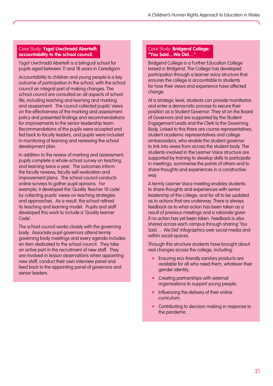#### Case Study: **Ysgol Uwchradd Aberteifi: accountability to the school council.**

Ysgol Uwchradd Aberteifi is a bilingual school for pupils aged between 11 and 18 years in Ceredigion.

Accountability to children and young people is a key outcome of participation in the school, with the school council an integral part of making changes. The school council are consulted on all aspects of school life, including teaching and learning and marking and assessment. The council collected pupils' views on the effectiveness of the marking and assessment policy and presented findings and recommendations for improvements to the senior leadership team. Recommendations of the pupils were accepted and fed back to faculty leaders, and pupils were included in monitoring of learning and reviewing the school development plan.

In addition to the review of marking and assessment, pupils complete a whole-school survey on teaching and learning twice a year. The outcomes inform the faculty reviews, faculty self-evaluation and improvement plans. The school council conducts online surveys to gather pupil opinions. For example, it developed the 'Quality Teacher 10 code' by collecting pupils' views on teaching strategies and approaches. As a result, the school refined its teaching and learning model. Pupils and staff developed this work to include a 'Quality learner Code'.

The school council works closely with the governing body. Associate pupil governors attend termly governing body meetings and every agenda includes an item dedicated to the school council. They take an active part in the recruitment of new staff. They are involved in lesson observations when appointing new staff, conduct their own interview panel and feed back to the appointing panel of governors and senior leaders.

#### Case Study: **Bridgend College: "You Said…We Did…"**

Bridgend College is a Further Education College based in Bridgend. The College has developed participation through a learner voice structure that ensures the college is accountable to students for how their views and experience have affected change.

At a strategic level, students can provide manifestos and enter a democratic process to secure their position as a Student Governor. They sit on the Board of Governors and are supported by the Student Engagement Leads and the Clerk to the Governing Body. Linked to this there are course representatives, student academic representatives and college ambassadors, who enable the student governor to link into views from across the student body. The students involved in the Learner Voice structure are supported by training to develop skills to participate in meetings, summarise the points of others and to share thoughts and experiences in a constructive way.

A termly Learner Voice meeting enables students to share thoughts and experiences with senior leadership of the college, and for all to be updated as to actions that are underway. There is always feedback as to what action has been taken as a result of previous meetings and a rationale given if no action has yet been taken. Feedback is also shared across each campus through sharing 'You Said … We Did' infographics over social media and within social spaces.

Through this structure students have brought about real changes across the college, including:

- Ensuring eco-friendly sanitary products are available for all who need them, whatever their gender identity;
- Creating partnerships with external organisations to support young people;
- Influencing the delivery of their online curriculum;
- Contributing to decision making in response to the pandemic.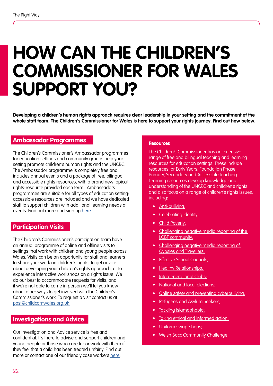### <span id="page-21-0"></span>**HOW CAN THE CHILDREN'S COMMISSIONER FOR WALES SUPPORT YOU?**

**Developing a children's human rights approach requires clear leadership in your setting and the commitment of the whole staff team. The Children's Commissioner for Wales is here to support your rights journey. Find out how below.**

#### **Ambassador Programmes**

The Children's Commissioner's Ambassador programmes for education settings and community groups help your setting promote children's human rights and the UNCRC. The Ambassador programme is completely free and includes annual events and a package of free, bilingual and accessible rights resources, with a brand new topical rights-resource provided each term. Ambassadors programmes are suitable for all types of education setting: accessible resources are included and we have dedicated staff to support children with additional learning needs at events. Find out more and sign up [here](https://www.childcomwales.org.uk/our-schemes/).

#### **Participation Visits**

The Children's Commissioner's participation team have an annual programme of online and offline visits to settings that work with children and young people across Wales. Visits can be an opportunity for staff and learners to share your work on children's rights, to get advice about developing your children's rights approach, or to experience interactive workshops on a rights issue. We do our best to accommodate requests for visits, and if we're not able to come in person we'll let you know about other ways to get involved with the Children's Commissioner's work. To request a visit contact us at [post@childcomwales.org.uk](mailto:post%40childcomwales.org.uk%20?subject=) 

#### **Investigations and Advice**

Our Investigation and Advice service is free and confidential. It's there to advise and support children and young people or those who care for or work with them if they feel that a child has been treated unfairly. Find out more or contact one of our friendly case workers [here.](https://www.childcomwales.org.uk/about-us/investigation-advice/)

#### **Resources**

The Children's Commissioner has an extensive range of free and bilingual teaching and learning resources for education settings. These include resources for Early Years, [Foundation Phase,](https://www.childcomwales.org.uk/resources/foundation-phase-resources/) [Primary](https://www.childcomwales.org.uk/resources/primary-teachers/), [Secondary](https://www.childcomwales.org.uk/resources/secondary-teachers/) and [Accessible](https://www.childcomwales.org.uk/resources/accessible-teaching-resources/) teaching. Learning resources develop knowledge and understanding of the UNCRC and children's rights and also focus on a range of children's rights issues, including:

- **Anti-bullying**
- [Celebrating identity;](https://www.childcomwales.org.uk/here-i-am/)
- [Child Poverty;](https://www.childcomwales.org.uk/a-charter-for-change-resources/)
- Challenging negative media reporting of the [LGBT community;](https://www.childcomwales.org.uk/wp-content/uploads/2016/04/LGBT-media-reporting-proof-English-final-v2-2.pdf)
- [Challenging negative media reporting of](https://www.childcomwales.org.uk/wp-content/uploads/2016/04/CCW27176-Childrens-Commissioner-for-Wales-proof-English-1.pdf)  [Gypsies and Travellers;](https://www.childcomwales.org.uk/wp-content/uploads/2016/04/CCW27176-Childrens-Commissioner-for-Wales-proof-English-1.pdf)
- Effective School Councils:
- Healthy Relationships;
- [Intergenerational Clubs;](https://www.childcomwales.org.uk/resources-2/intergenerational-resource/)
- [National and local elections;](https://www.projectvote.wales/)
- [Online safety and preventing cyberbullying;](https://www.childcomwales.org.uk/dont-worry-im-here-for-you-childrens-experiences-of-cyberbullying-in-wales-3/)
- [Refugees and Asylum Seekers;](https://www.childcomwales.org.uk/resources/secondary-teachers/)
- [Tackling Islamophobia;](https://www.childcomwales.org.uk/publications/tackling-islamophobia-resource/)
- [Taking ethical and informed action;](https://www.childcomwales.org.uk/make-a-difference/)
- [Uniform swap-shops;](https://www.childcomwales.org.uk/a-charter-for-change-resources/)
- [Welsh Bacc Community Challenge](https://www.childcomwales.org.uk/our-schemes/secondary/welsh-baccalaureate-community-challenge/)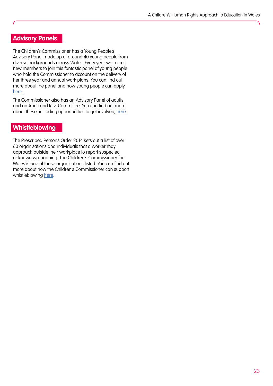#### **Advisory Panels**

The Children's Commissioner has a Young People's Advisory Panel made up of around 40 young people from diverse backgrounds across Wales. Every year we recruit new members to join this fantastic panel of young people who hold the Commissioner to account on the delivery of her three year and annual work plans. You can find out more about the panel and how young people can apply [here](https://www.childcomwales.org.uk/about-us/advisory-panels/young-peoples-advisory-panel/).

The Commissioner also has an Advisory Panel of adults, and an Audit and Risk Committee. You can find out more about these, including opportunities to get involved, [here](https://www.childcomwales.org.uk/about-us/advisory-panels/).

#### **Whistleblowing**

The Prescribed Persons Order 2014 sets out a list of over 60 organisations and individuals that a worker may approach outside their workplace to report suspected or known wrongdoing. The Children's Commissioner for Wales is one of those organisations listed. You can find out more about how the Children's Commissioner can support whistleblowing [here](https://www.childcomwales.org.uk/whistleblowing/).